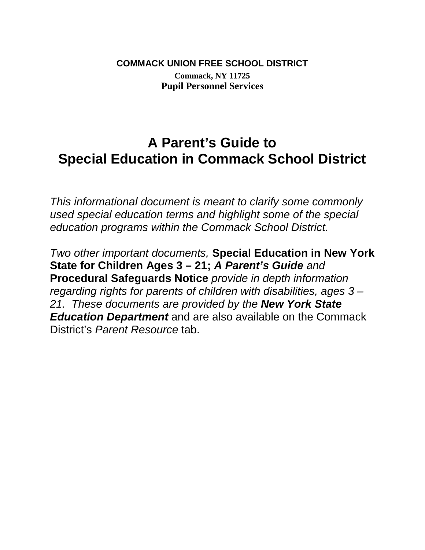## **COMMACK UNION FREE SCHOOL DISTRICT Commack, NY 11725 Pupil Personnel Services**

# **A Parent's Guide to Special Education in Commack School District**

*This informational document is meant to clarify some commonly used special education terms and highlight some of the special education programs within the Commack School District.* 

*Two other important documents,* **Special Education in New York State for Children Ages 3 – 21;** *A Parent's Guide and*  **Procedural Safeguards Notice** *provide in depth information regarding rights for parents of children with disabilities, ages 3 – 21. These documents are provided by the New York State Education Department* and are also available on the Commack District's *Parent Resource* tab.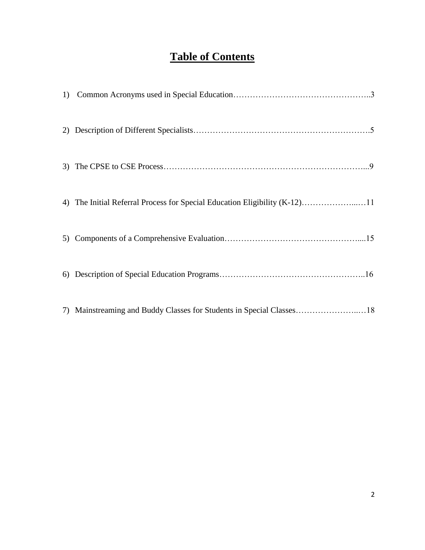## **Table of Contents**

| 4) The Initial Referral Process for Special Education Eligibility (K-12)11 |
|----------------------------------------------------------------------------|
|                                                                            |
|                                                                            |
| 7) Mainstreaming and Buddy Classes for Students in Special Classes18       |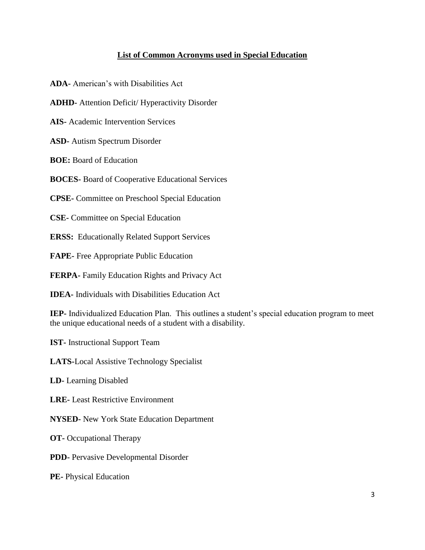#### **List of Common Acronyms used in Special Education**

**ADA-** American's with Disabilities Act

**ADHD-** Attention Deficit/ Hyperactivity Disorder

**AIS-** Academic Intervention Services

**ASD-** Autism Spectrum Disorder

**BOE:** Board of Education

**BOCES-** Board of Cooperative Educational Services

**CPSE-** Committee on Preschool Special Education

**CSE-** Committee on Special Education

**ERSS:** Educationally Related Support Services

**FAPE-** Free Appropriate Public Education

**FERPA-** Family Education Rights and Privacy Act

**IDEA-** Individuals with Disabilities Education Act

**IEP-** Individualized Education Plan. This outlines a student's special education program to meet the unique educational needs of a student with a disability.

**IST-** Instructional Support Team

**LATS-**Local Assistive Technology Specialist

**LD-** Learning Disabled

**LRE-** Least Restrictive Environment

**NYSED-** New York State Education Department

**OT-** Occupational Therapy

**PDD-** Pervasive Developmental Disorder

**PE-** Physical Education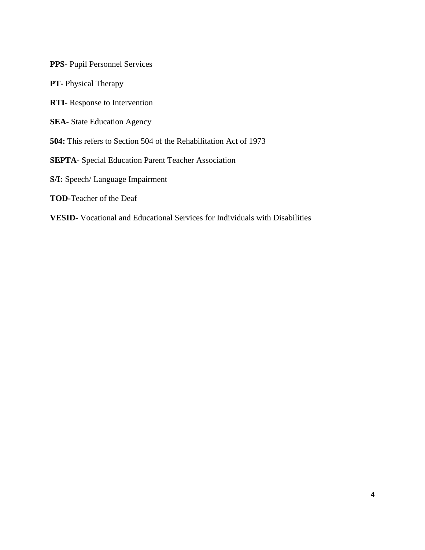**PPS-** Pupil Personnel Services

**PT-** Physical Therapy

**RTI-** Response to Intervention

**SEA-** State Education Agency

**504:** This refers to Section 504 of the Rehabilitation Act of 1973

**SEPTA-** Special Education Parent Teacher Association

**S/I:** Speech/ Language Impairment

**TOD-**Teacher of the Deaf

**VESID-** Vocational and Educational Services for Individuals with Disabilities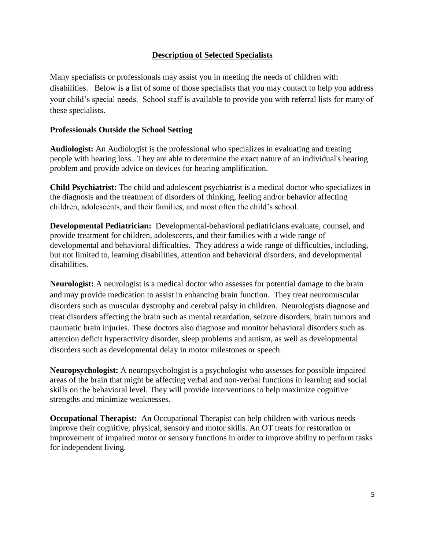#### **Description of Selected Specialists**

Many specialists or professionals may assist you in meeting the needs of children with disabilities. Below is a list of some of those specialists that you may contact to help you address your child's special needs. School staff is available to provide you with referral lists for many of these specialists.

#### **Professionals Outside the School Setting**

**Audiologist:** An Audiologist is the professional who specializes in evaluating and treating people with hearing loss. They are able to determine the exact nature of an individual's hearing problem and provide advice on devices for hearing amplification.

**Child Psychiatrist:** The child and adolescent psychiatrist is a medical doctor who specializes in the diagnosis and the treatment of disorders of thinking, feeling and/or behavior affecting children, adolescents, and their families, and most often the child's school.

**Developmental Pediatrician:** Developmental-behavioral pediatricians evaluate, counsel, and provide treatment for children, adolescents, and their families with a wide range of developmental and behavioral difficulties. They address a wide range of difficulties, including, but not limited to, learning disabilities, attention and behavioral disorders, and developmental disabilities.

**Neurologist:** A neurologist is a medical doctor who assesses for potential damage to the brain and may provide medication to assist in enhancing brain function. They treat neuromuscular disorders such as muscular dystrophy and cerebral palsy in children. Neurologists diagnose and treat disorders affecting the brain such as mental retardation, seizure disorders, brain tumors and traumatic brain injuries. These doctors also diagnose and monitor behavioral disorders such as attention deficit hyperactivity disorder, sleep problems and autism, as well as developmental disorders such as developmental delay in motor milestones or speech.

**Neuropsychologist:** A neuropsychologist is a psychologist who assesses for possible impaired areas of the brain that might be affecting verbal and non-verbal functions in learning and social skills on the behavioral level. They will provide interventions to help maximize cognitive strengths and minimize weaknesses.

**Occupational Therapist:** An Occupational Therapist can help children with various needs improve their cognitive, physical, sensory and motor skills. An OT treats for restoration or improvement of impaired motor or sensory functions in order to improve ability to perform tasks for independent living.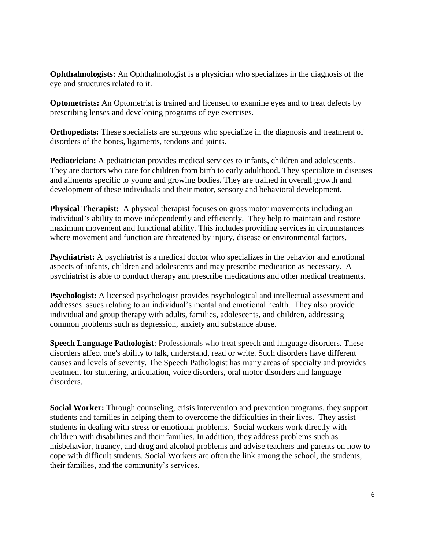**Ophthalmologists:** An Ophthalmologist is a physician who specializes in the diagnosis of the eye and structures related to it.

**Optometrists:** An Optometrist is trained and licensed to examine eyes and to treat defects by prescribing lenses and developing programs of eye exercises.

**Orthopedists:** These specialists are surgeons who specialize in the diagnosis and treatment of disorders of the bones, ligaments, tendons and joints.

**Pediatrician:** A pediatrician provides medical services to infants, children and adolescents. They are doctors who care for children from birth to early adulthood. They specialize in diseases and ailments specific to young and growing bodies. They are trained in overall growth and development of these individuals and their motor, sensory and behavioral development.

**Physical Therapist:** A physical therapist focuses on gross motor movements including an individual's ability to move independently and efficiently. They help to maintain and restore maximum movement and functional ability. This includes providing services in circumstances where movement and function are threatened by injury, disease or environmental factors.

**Psychiatrist:** A psychiatrist is a medical doctor who specializes in the behavior and emotional aspects of infants, children and adolescents and may prescribe medication as necessary. A psychiatrist is able to conduct therapy and prescribe medications and other medical treatments.

**Psychologist:** A licensed psychologist provides psychological and intellectual assessment and addresses issues relating to an individual's mental and emotional health. They also provide individual and group therapy with adults, families, adolescents, and children, addressing common problems such as depression, anxiety and substance abuse.

**Speech Language Pathologist**: Professionals who treat speech and language disorders. These disorders affect one's ability to talk, understand, read or write. Such disorders have different causes and levels of severity. The Speech Pathologist has many areas of specialty and provides treatment for stuttering, articulation, voice disorders, oral motor disorders and language disorders.

**Social Worker:** Through counseling, crisis intervention and prevention programs, they support students and families in helping them to overcome the difficulties in their lives. They assist students in dealing with stress or emotional problems. Social workers work directly with children with disabilities and their families. In addition, they address problems such as misbehavior, truancy, and drug and alcohol problems and advise teachers and parents on how to cope with difficult students. Social Workers are often the link among the school, the students, their families, and the community's services.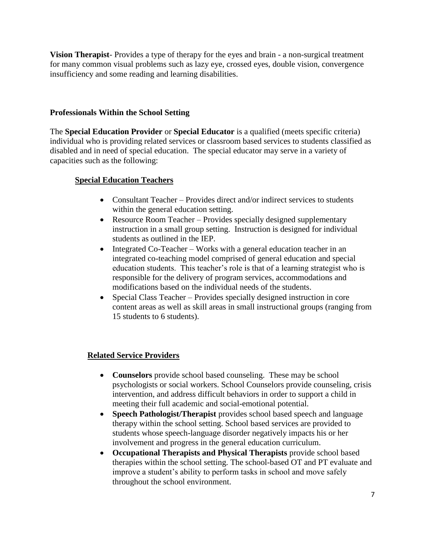**Vision Therapist**- Provides a type of therapy for the eyes and brain - a non-surgical treatment for many common visual problems such as lazy eye, crossed eyes, double vision, convergence insufficiency and some reading and learning disabilities.

#### **Professionals Within the School Setting**

The **Special Education Provider** or **Special Educator** is a qualified (meets specific criteria) individual who is providing related services or classroom based services to students classified as disabled and in need of special education. The special educator may serve in a variety of capacities such as the following:

#### **Special Education Teachers**

- Consultant Teacher Provides direct and/or indirect services to students within the general education setting.
- Resource Room Teacher Provides specially designed supplementary instruction in a small group setting. Instruction is designed for individual students as outlined in the IEP.
- Integrated Co-Teacher Works with a general education teacher in an integrated co-teaching model comprised of general education and special education students. This teacher's role is that of a learning strategist who is responsible for the delivery of program services, accommodations and modifications based on the individual needs of the students.
- Special Class Teacher Provides specially designed instruction in core content areas as well as skill areas in small instructional groups (ranging from 15 students to 6 students).

#### **Related Service Providers**

- **Counselors** provide school based counseling. These may be school psychologists or social workers. School Counselors provide counseling, crisis intervention, and address difficult behaviors in order to support a child in meeting their full academic and social-emotional potential.
- **Speech Pathologist/Therapist** provides school based speech and language therapy within the school setting. School based services are provided to students whose speech-language disorder negatively impacts his or her involvement and progress in the general education curriculum.
- **Occupational Therapists and Physical Therapists** provide school based therapies within the school setting. The school-based OT and PT evaluate and improve a student's ability to perform tasks in school and move safely throughout the school environment.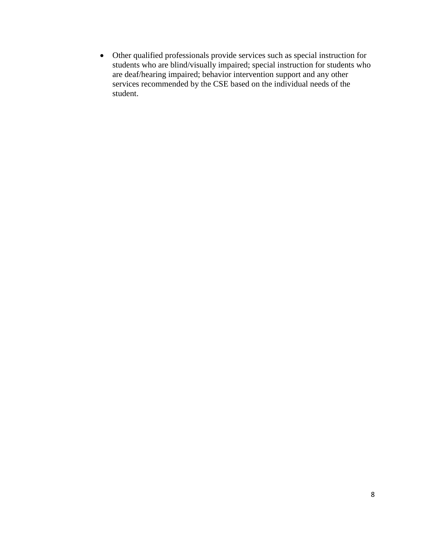Other qualified professionals provide services such as special instruction for students who are blind/visually impaired; special instruction for students who are deaf/hearing impaired; behavior intervention support and any other services recommended by the CSE based on the individual needs of the student.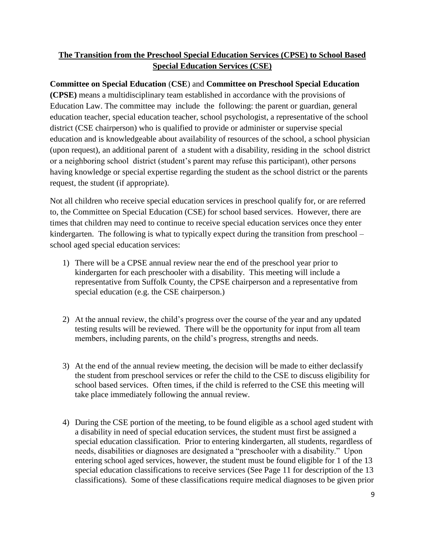### **The Transition from the Preschool Special Education Services (CPSE) to School Based Special Education Services (CSE)**

**Committee on Special Education** (**CSE**) and **Committee on Preschool Special Education (CPSE)** means a multidisciplinary team established in accordance with the provisions of Education Law. The committee may include the following: the parent or guardian, general education teacher, special education teacher, school psychologist, a representative of the school district (CSE chairperson) who is qualified to provide or administer or supervise special education and is knowledgeable about availability of resources of the school, a school physician (upon request), an additional parent of a student with a disability, residing in the school district or a neighboring school district (student's parent may refuse this participant), other persons having knowledge or special expertise regarding the student as the school district or the parents request, the student (if appropriate).

Not all children who receive special education services in preschool qualify for, or are referred to, the Committee on Special Education (CSE) for school based services. However, there are times that children may need to continue to receive special education services once they enter kindergarten. The following is what to typically expect during the transition from preschool – school aged special education services:

- 1) There will be a CPSE annual review near the end of the preschool year prior to kindergarten for each preschooler with a disability. This meeting will include a representative from Suffolk County, the CPSE chairperson and a representative from special education (e.g. the CSE chairperson.)
- 2) At the annual review, the child's progress over the course of the year and any updated testing results will be reviewed. There will be the opportunity for input from all team members, including parents, on the child's progress, strengths and needs.
- 3) At the end of the annual review meeting, the decision will be made to either declassify the student from preschool services or refer the child to the CSE to discuss eligibility for school based services. Often times, if the child is referred to the CSE this meeting will take place immediately following the annual review.
- 4) During the CSE portion of the meeting, to be found eligible as a school aged student with a disability in need of special education services, the student must first be assigned a special education classification. Prior to entering kindergarten, all students, regardless of needs, disabilities or diagnoses are designated a "preschooler with a disability." Upon entering school aged services, however, the student must be found eligible for 1 of the 13 special education classifications to receive services (See Page 11 for description of the 13 classifications). Some of these classifications require medical diagnoses to be given prior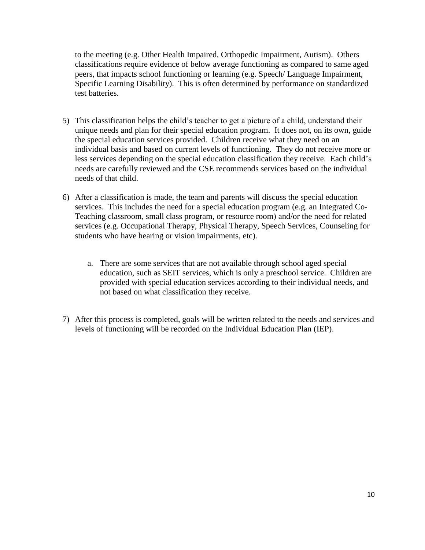to the meeting (e.g. Other Health Impaired, Orthopedic Impairment, Autism). Others classifications require evidence of below average functioning as compared to same aged peers, that impacts school functioning or learning (e.g. Speech/ Language Impairment, Specific Learning Disability). This is often determined by performance on standardized test batteries.

- 5) This classification helps the child's teacher to get a picture of a child, understand their unique needs and plan for their special education program. It does not, on its own, guide the special education services provided. Children receive what they need on an individual basis and based on current levels of functioning. They do not receive more or less services depending on the special education classification they receive. Each child's needs are carefully reviewed and the CSE recommends services based on the individual needs of that child.
- 6) After a classification is made, the team and parents will discuss the special education services. This includes the need for a special education program (e.g. an Integrated Co-Teaching classroom, small class program, or resource room) and/or the need for related services (e.g. Occupational Therapy, Physical Therapy, Speech Services, Counseling for students who have hearing or vision impairments, etc).
	- a. There are some services that are not available through school aged special education, such as SEIT services, which is only a preschool service. Children are provided with special education services according to their individual needs, and not based on what classification they receive.
- 7) After this process is completed, goals will be written related to the needs and services and levels of functioning will be recorded on the Individual Education Plan (IEP).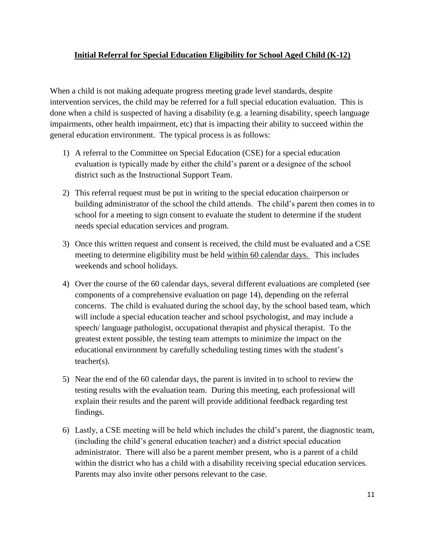#### **Initial Referral for Special Education Eligibility for School Aged Child (K-12)**

When a child is not making adequate progress meeting grade level standards, despite intervention services, the child may be referred for a full special education evaluation. This is done when a child is suspected of having a disability (e.g. a learning disability, speech language impairments, other health impairment, etc) that is impacting their ability to succeed within the general education environment. The typical process is as follows:

- 1) A referral to the Committee on Special Education (CSE) for a special education evaluation is typically made by either the child's parent or a designee of the school district such as the Instructional Support Team.
- 2) This referral request must be put in writing to the special education chairperson or building administrator of the school the child attends. The child's parent then comes in to school for a meeting to sign consent to evaluate the student to determine if the student needs special education services and program.
- 3) Once this written request and consent is received, the child must be evaluated and a CSE meeting to determine eligibility must be held within 60 calendar days. This includes weekends and school holidays.
- 4) Over the course of the 60 calendar days, several different evaluations are completed (see components of a comprehensive evaluation on page 14), depending on the referral concerns. The child is evaluated during the school day, by the school based team, which will include a special education teacher and school psychologist, and may include a speech/ language pathologist, occupational therapist and physical therapist. To the greatest extent possible, the testing team attempts to minimize the impact on the educational environment by carefully scheduling testing times with the student's teacher(s).
- 5) Near the end of the 60 calendar days, the parent is invited in to school to review the testing results with the evaluation team. During this meeting, each professional will explain their results and the parent will provide additional feedback regarding test findings.
- 6) Lastly, a CSE meeting will be held which includes the child's parent, the diagnostic team, (including the child's general education teacher) and a district special education administrator. There will also be a parent member present, who is a parent of a child within the district who has a child with a disability receiving special education services. Parents may also invite other persons relevant to the case.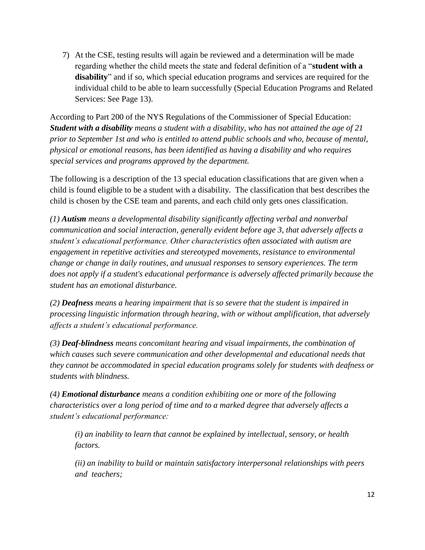7) At the CSE, testing results will again be reviewed and a determination will be made regarding whether the child meets the state and federal definition of a "**student with a disability**" and if so, which special education programs and services are required for the individual child to be able to learn successfully (Special Education Programs and Related Services: See Page 13).

According to Part 200 of the NYS Regulations of the Commissioner of Special Education: *Student with a disability means a student with a disability, who has not attained the age of 21 prior to September 1st and who is entitled to attend public schools and who, because of mental, physical or emotional reasons, has been identified as having a disability and who requires special services and programs approved by the department.*

The following is a description of the 13 special education classifications that are given when a child is found eligible to be a student with a disability. The classification that best describes the child is chosen by the CSE team and parents, and each child only gets ones classification.

*(1) Autism means a developmental disability significantly affecting verbal and nonverbal communication and social interaction, generally evident before age 3, that adversely affects a student's educational performance. Other characteristics often associated with autism are engagement in repetitive activities and stereotyped movements, resistance to environmental change or change in daily routines, and unusual responses to sensory experiences. The term does not apply if a student's educational performance is adversely affected primarily because the student has an emotional disturbance.*

*(2) Deafness means a hearing impairment that is so severe that the student is impaired in processing linguistic information through hearing, with or without amplification, that adversely affects a student's educational performance.* 

*(3) Deaf-blindness means concomitant hearing and visual impairments, the combination of which causes such severe communication and other developmental and educational needs that they cannot be accommodated in special education programs solely for students with deafness or students with blindness.* 

*(4) Emotional disturbance means a condition exhibiting one or more of the following characteristics over a long period of time and to a marked degree that adversely affects a student's educational performance:* 

*(i) an inability to learn that cannot be explained by intellectual, sensory, or health factors.* 

*(ii) an inability to build or maintain satisfactory interpersonal relationships with peers and teachers;*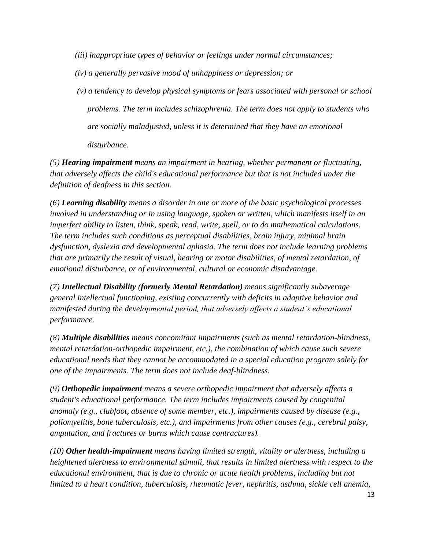*(iii) inappropriate types of behavior or feelings under normal circumstances;* 

*(iv) a generally pervasive mood of unhappiness or depression; or* 

*(v) a tendency to develop physical symptoms or fears associated with personal or school problems. The term includes schizophrenia. The term does not apply to students who are socially maladjusted, unless it is determined that they have an emotional disturbance.* 

*(5) Hearing impairment means an impairment in hearing, whether permanent or fluctuating, that adversely affects the child's educational performance but that is not included under the definition of deafness in this section.* 

*(6) Learning disability means a disorder in one or more of the basic psychological processes involved in understanding or in using language, spoken or written, which manifests itself in an imperfect ability to listen, think, speak, read, write, spell, or to do mathematical calculations. The term includes such conditions as perceptual disabilities, brain injury, minimal brain dysfunction, dyslexia and developmental aphasia. The term does not include learning problems that are primarily the result of visual, hearing or motor disabilities, of mental retardation, of emotional disturbance, or of environmental, cultural or economic disadvantage.* 

*(7) Intellectual Disability (formerly Mental Retardation) means significantly subaverage general intellectual functioning, existing concurrently with deficits in adaptive behavior and manifested during the developmental period, that adversely affects a student's educational performance.* 

*(8) Multiple disabilities means concomitant impairments (such as mental retardation-blindness, mental retardation-orthopedic impairment, etc.), the combination of which cause such severe educational needs that they cannot be accommodated in a special education program solely for one of the impairments. The term does not include deaf-blindness.* 

*(9) Orthopedic impairment means a severe orthopedic impairment that adversely affects a student's educational performance. The term includes impairments caused by congenital anomaly (e.g., clubfoot, absence of some member, etc.), impairments caused by disease (e.g., poliomyelitis, bone tuberculosis, etc.), and impairments from other causes (e.g., cerebral palsy, amputation, and fractures or burns which cause contractures).* 

*(10) Other health-impairment means having limited strength, vitality or alertness, including a heightened alertness to environmental stimuli, that results in limited alertness with respect to the educational environment, that is due to chronic or acute health problems, including but not limited to a heart condition, tuberculosis, rheumatic fever, nephritis, asthma, sickle cell anemia,*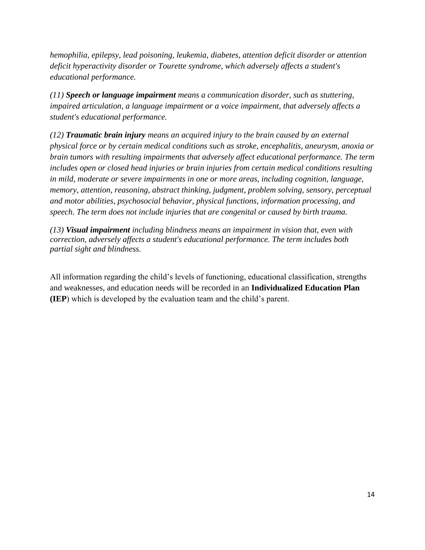*hemophilia, epilepsy, lead poisoning, leukemia, diabetes, attention deficit disorder or attention deficit hyperactivity disorder or Tourette syndrome, which adversely affects a student's educational performance.* 

*(11) Speech or language impairment means a communication disorder, such as stuttering, impaired articulation, a language impairment or a voice impairment, that adversely affects a student's educational performance.* 

*(12) Traumatic brain injury means an acquired injury to the brain caused by an external physical force or by certain medical conditions such as stroke, encephalitis, aneurysm, anoxia or brain tumors with resulting impairments that adversely affect educational performance. The term includes open or closed head injuries or brain injuries from certain medical conditions resulting in mild, moderate or severe impairments in one or more areas, including cognition, language, memory, attention, reasoning, abstract thinking, judgment, problem solving, sensory, perceptual and motor abilities, psychosocial behavior, physical functions, information processing, and speech. The term does not include injuries that are congenital or caused by birth trauma.* 

*(13) Visual impairment including blindness means an impairment in vision that, even with correction, adversely affects a student's educational performance. The term includes both partial sight and blindness.*

All information regarding the child's levels of functioning, educational classification, strengths and weaknesses, and education needs will be recorded in an **Individualized Education Plan (IEP**) which is developed by the evaluation team and the child's parent.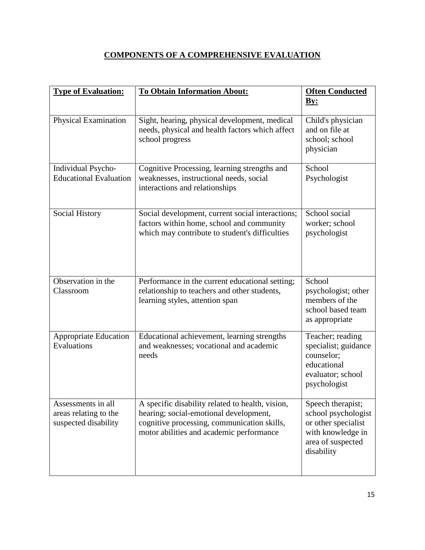## **COMPONENTS OF A COMPREHENSIVE EVALUATION**

| <b>Type of Evaluation:</b>                                          | <b>To Obtain Information About:</b>                                                                                                                                                   | <b>Often Conducted</b><br>By:                                                                                           |
|---------------------------------------------------------------------|---------------------------------------------------------------------------------------------------------------------------------------------------------------------------------------|-------------------------------------------------------------------------------------------------------------------------|
| Physical Examination                                                | Sight, hearing, physical development, medical<br>needs, physical and health factors which affect<br>school progress                                                                   | Child's physician<br>and on file at<br>school; school<br>physician                                                      |
| Individual Psycho-<br><b>Educational Evaluation</b>                 | Cognitive Processing, learning strengths and<br>weaknesses, instructional needs, social<br>interactions and relationships                                                             | School<br>Psychologist                                                                                                  |
| <b>Social History</b>                                               | Social development, current social interactions;<br>factors within home, school and community<br>which may contribute to student's difficulties                                       | School social<br>worker; school<br>psychologist                                                                         |
| Observation in the<br>Classroom                                     | Performance in the current educational setting;<br>relationship to teachers and other students,<br>learning styles, attention span                                                    | School<br>psychologist; other<br>members of the<br>school based team<br>as appropriate                                  |
| <b>Appropriate Education</b><br>Evaluations                         | Educational achievement, learning strengths<br>and weaknesses; vocational and academic<br>needs                                                                                       | Teacher; reading<br>specialist; guidance<br>counselor;<br>educational<br>evaluator; school<br>psychologist              |
| Assessments in all<br>areas relating to the<br>suspected disability | A specific disability related to health, vision,<br>hearing; social-emotional development,<br>cognitive processing, communication skills,<br>motor abilities and academic performance | Speech therapist;<br>school psychologist<br>or other specialist<br>with knowledge in<br>area of suspected<br>disability |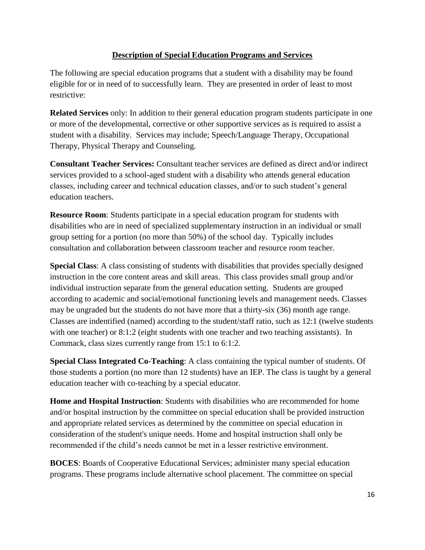#### **Description of Special Education Programs and Services**

The following are special education programs that a student with a disability may be found eligible for or in need of to successfully learn. They are presented in order of least to most restrictive:

**Related Services** only: In addition to their general education program students participate in one or more of the developmental, corrective or other supportive services as is required to assist a student with a disability. Services may include; Speech/Language Therapy, Occupational Therapy, Physical Therapy and Counseling.

**Consultant Teacher Services:** Consultant teacher services are defined as direct and/or indirect services provided to a school-aged student with a disability who attends general education classes, including career and technical education classes, and/or to such student's general education teachers.

**Resource Room**: Students participate in a special education program for students with disabilities who are in need of specialized supplementary instruction in an individual or small group setting for a portion (no more than 50%) of the school day. Typically includes consultation and collaboration between classroom teacher and resource room teacher.

**Special Class**: A class consisting of students with disabilities that provides specially designed instruction in the core content areas and skill areas. This class provides small group and/or individual instruction separate from the general education setting. Students are grouped according to academic and social/emotional functioning levels and management needs. Classes may be ungraded but the students do not have more that a thirty-six (36) month age range. Classes are indentified (named) according to the student/staff ratio, such as 12:1 (twelve students with one teacher) or 8:1:2 (eight students with one teacher and two teaching assistants). In Commack, class sizes currently range from 15:1 to 6:1:2.

**Special Class Integrated Co-Teaching**: A class containing the typical number of students. Of those students a portion (no more than 12 students) have an IEP. The class is taught by a general education teacher with co-teaching by a special educator.

**Home and Hospital Instruction**: Students with disabilities who are recommended for home and/or hospital instruction by the committee on special education shall be provided instruction and appropriate related services as determined by the committee on special education in consideration of the student's unique needs. Home and hospital instruction shall only be recommended if the child's needs cannot be met in a lesser restrictive environment.

**BOCES**: Boards of Cooperative Educational Services; administer many special education programs. These programs include alternative school placement. The committee on special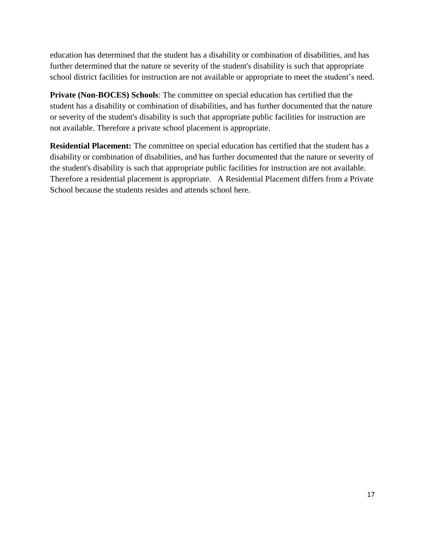education has determined that the student has a disability or combination of disabilities, and has further determined that the nature or severity of the student's disability is such that appropriate school district facilities for instruction are not available or appropriate to meet the student's need.

**Private (Non-BOCES) Schools**: The committee on special education has certified that the student has a disability or combination of disabilities, and has further documented that the nature or severity of the student's disability is such that appropriate public facilities for instruction are not available. Therefore a private school placement is appropriate.

**Residential Placement:** The committee on special education has certified that the student has a disability or combination of disabilities, and has further documented that the nature or severity of the student's disability is such that appropriate public facilities for instruction are not available. Therefore a residential placement is appropriate. A Residential Placement differs from a Private School because the students resides and attends school here.